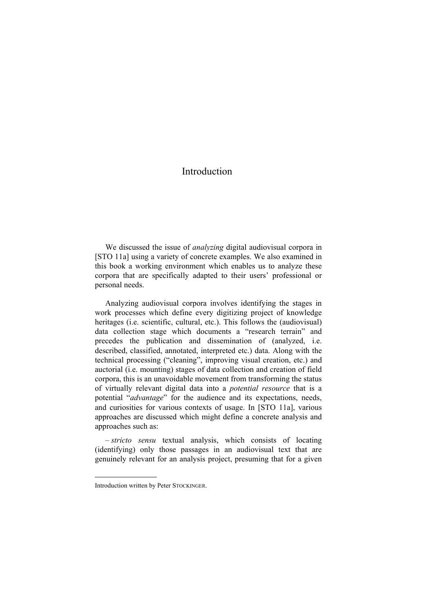## Introduction

We discussed the issue of *analyzing* digital audiovisual corpora in [STO 11a] using a variety of concrete examples. We also examined in this book a working environment which enables us to analyze these corpora that are specifically adapted to their users' professional or personal needs.

Analyzing audiovisual corpora involves identifying the stages in work processes which define every digitizing project of knowledge heritages (i.e. scientific, cultural, etc.). This follows the (audiovisual) data collection stage which documents a "research terrain" and precedes the publication and dissemination of (analyzed, i.e. described, classified, annotated, interpreted etc.) data. Along with the technical processing ("cleaning", improving visual creation, etc.) and auctorial (i.e. mounting) stages of data collection and creation of field corpora, this is an unavoidable movement from transforming the status of virtually relevant digital data into a *potential resource* that is a potential "*advantage*" for the audience and its expectations, needs, and curiosities for various contexts of usage. In [STO 11a], various approaches are discussed which might define a concrete analysis and approaches such as:

– *stricto sensu* textual analysis, which consists of locating (identifying) only those passages in an audiovisual text that are genuinely relevant for an analysis project, presuming that for a given

Introduction written by Peter STOCKINGER.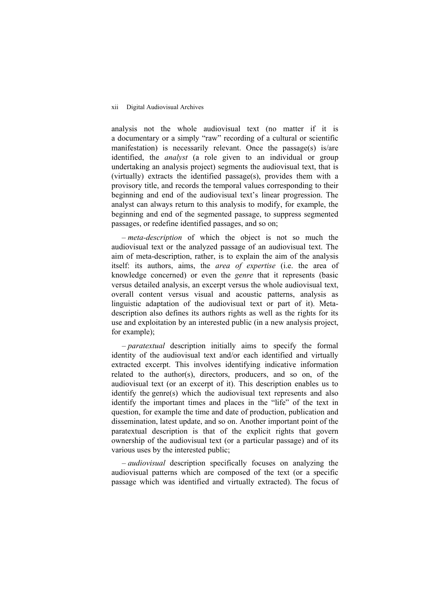## xii Digital Audiovisual Archives

analysis not the whole audiovisual text (no matter if it is a documentary or a simply "raw" recording of a cultural or scientific manifestation) is necessarily relevant. Once the passage(s) is/are identified, the *analyst* (a role given to an individual or group undertaking an analysis project) segments the audiovisual text, that is (virtually) extracts the identified passage(s), provides them with a provisory title, and records the temporal values corresponding to their beginning and end of the audiovisual text's linear progression. The analyst can always return to this analysis to modify, for example, the beginning and end of the segmented passage, to suppress segmented passages, or redefine identified passages, and so on;

– *meta-description* of which the object is not so much the audiovisual text or the analyzed passage of an audiovisual text. The aim of meta-description, rather, is to explain the aim of the analysis itself: its authors, aims, the *area of expertise* (i.e. the area of knowledge concerned) or even the *genre* that it represents (basic versus detailed analysis, an excerpt versus the whole audiovisual text, overall content versus visual and acoustic patterns, analysis as linguistic adaptation of the audiovisual text or part of it). Metadescription also defines its authors rights as well as the rights for its use and exploitation by an interested public (in a new analysis project, for example);

– *paratextual* description initially aims to specify the formal identity of the audiovisual text and/or each identified and virtually extracted excerpt. This involves identifying indicative information related to the author(s), directors, producers, and so on, of the audiovisual text (or an excerpt of it). This description enables us to identify the genre(s) which the audiovisual text represents and also identify the important times and places in the "life" of the text in question, for example the time and date of production, publication and dissemination, latest update, and so on. Another important point of the paratextual description is that of the explicit rights that govern ownership of the audiovisual text (or a particular passage) and of its various uses by the interested public;

– *audiovisual* description specifically focuses on analyzing the audiovisual patterns which are composed of the text (or a specific passage which was identified and virtually extracted). The focus of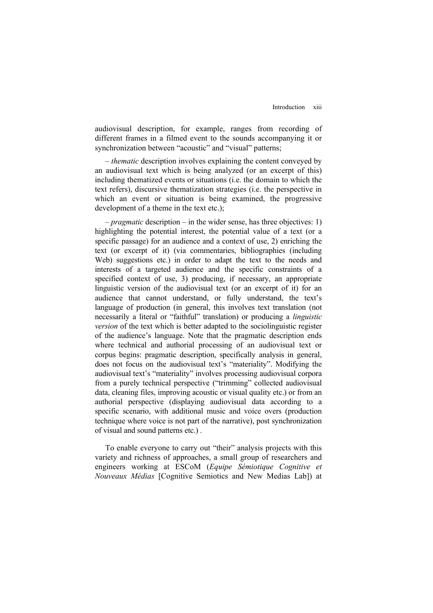audiovisual description, for example, ranges from recording of different frames in a filmed event to the sounds accompanying it or synchronization between "acoustic" and "visual" patterns;

– *thematic* description involves explaining the content conveyed by an audiovisual text which is being analyzed (or an excerpt of this) including thematized events or situations (i.e. the domain to which the text refers), discursive thematization strategies (i.e. the perspective in which an event or situation is being examined, the progressive development of a theme in the text etc.);

– *pragmatic* description – in the wider sense, has three objectives: 1) highlighting the potential interest, the potential value of a text (or a specific passage) for an audience and a context of use, 2) enriching the text (or excerpt of it) (via commentaries, bibliographies (including Web) suggestions etc.) in order to adapt the text to the needs and interests of a targeted audience and the specific constraints of a specified context of use, 3) producing, if necessary, an appropriate linguistic version of the audiovisual text (or an excerpt of it) for an audience that cannot understand, or fully understand, the text's language of production (in general, this involves text translation (not necessarily a literal or "faithful" translation) or producing a *linguistic version* of the text which is better adapted to the sociolinguistic register of the audience's language. Note that the pragmatic description ends where technical and authorial processing of an audiovisual text or corpus begins: pragmatic description, specifically analysis in general, does not focus on the audiovisual text's "materiality". Modifying the audiovisual text's "materiality" involves processing audiovisual corpora from a purely technical perspective ("trimming" collected audiovisual data, cleaning files, improving acoustic or visual quality etc.) or from an authorial perspective (displaying audiovisual data according to a specific scenario, with additional music and voice overs (production technique where voice is not part of the narrative), post synchronization of visual and sound patterns etc.) .

To enable everyone to carry out "their" analysis projects with this variety and richness of approaches, a small group of researchers and engineers working at ESCoM (*Equipe Sémiotique Cognitive et Nouveaux Médias* [Cognitive Semiotics and New Medias Lab]) at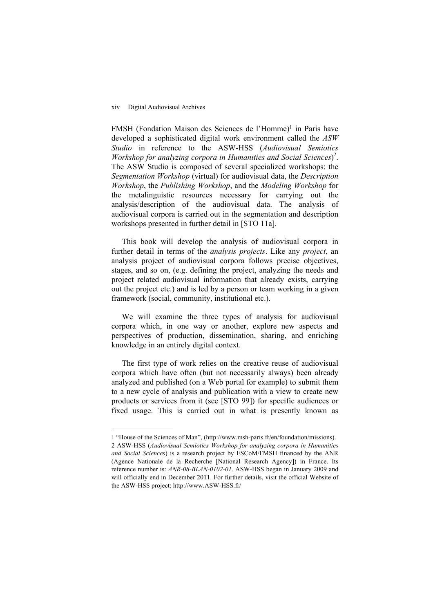## xiv Digital Audiovisual Archives

FMSH (Fondation Maison des Sciences de l'Homme)<sup>1</sup> in Paris have developed a sophisticated digital work environment called the *ASW Studio* in reference to the ASW-HSS (*Audiovisual Semiotics Workshop for analyzing corpora in Humanities and Social Sciences*) 2 . The ASW Studio is composed of several specialized workshops: the *Segmentation Workshop* (virtual) for audiovisual data, the *Description Workshop*, the *Publishing Workshop*, and the *Modeling Workshop* for the metalinguistic resources necessary for carrying out the analysis/description of the audiovisual data. The analysis of audiovisual corpora is carried out in the segmentation and description workshops presented in further detail in [STO 11a].

This book will develop the analysis of audiovisual corpora in further detail in terms of the *analysis projects*. Like any *project*, an analysis project of audiovisual corpora follows precise objectives, stages, and so on, (e.g. defining the project, analyzing the needs and project related audiovisual information that already exists, carrying out the project etc.) and is led by a person or team working in a given framework (social, community, institutional etc.).

We will examine the three types of analysis for audiovisual corpora which, in one way or another, explore new aspects and perspectives of production, dissemination, sharing, and enriching knowledge in an entirely digital context.

The first type of work relies on the creative reuse of audiovisual corpora which have often (but not necessarily always) been already analyzed and published (on a Web portal for example) to submit them to a new cycle of analysis and publication with a view to create new products or services from it (see [STO 99]) for specific audiences or fixed usage. This is carried out in what is presently known as

<sup>1</sup> "House of the Sciences of Man", (http://www.msh-paris.fr/en/foundation/missions). 2 ASW-HSS (*Audiovisual Semiotics Workshop for analyzing corpora in Humanities and Social Sciences*) is a research project by ESCoM/FMSH financed by the ANR (Agence Nationale de la Recherche [National Research Agency]) in France. Its reference number is: *ANR-08-BLAN-0102-01*. ASW-HSS began in January 2009 and will officially end in December 2011. For further details, visit the official Website of the ASW-HSS project: http://www.ASW-HSS.fr/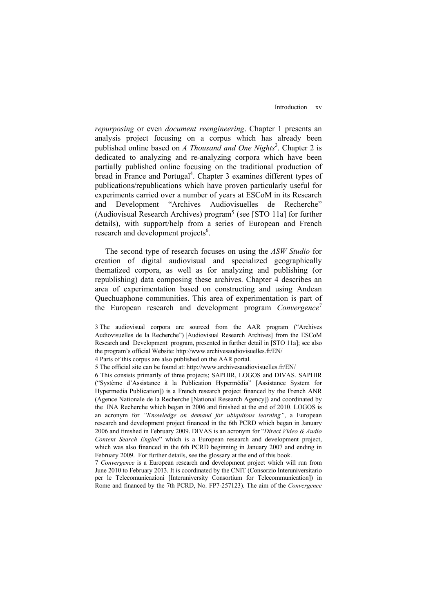*repurposing* or even *document reengineering*. Chapter 1 presents an analysis project focusing on a corpus which has already been published online based on *A Thousand and One Nights*<sup>3</sup> . Chapter 2 is dedicated to analyzing and re-analyzing corpora which have been partially published online focusing on the traditional production of bread in France and Portugal<sup>4</sup>. Chapter 3 examines different types of publications/republications which have proven particularly useful for experiments carried over a number of years at ESCoM in its Research and Development "Archives Audiovisuelles de Recherche" (Audiovisual Research Archives) program<sup>5</sup> (see [STO 11a] for further details), with support/help from a series of European and French research and development projects<sup>6</sup>.

The second type of research focuses on using the *ASW Studio* for creation of digital audiovisual and specialized geographically thematized corpora, as well as for analyzing and publishing (or republishing) data composing these archives. Chapter 4 describes an area of experimentation based on constructing and using Andean Quechuaphone communities. This area of experimentation is part of the European research and development program *Convergence* 7

<sup>3</sup> The audiovisual corpora are sourced from the AAR program ("Archives Audiovisuelles de la Recherche") [Audiovisual Research Archives] from the ESCoM Research and Development program, presented in further detail in [STO 11a]; see also the program's official Website: http://www.archivesaudiovisuelles.fr/EN/

<sup>4</sup> Parts of this corpus are also published on the AAR portal.

<sup>5</sup> The official site can be found at: http://www.archivesaudiovisuelles.fr/EN/

<sup>6</sup> This consists primarily of three projects; SAPHIR, LOGOS and DIVAS. SAPHIR ("Système d'Assistance à la Publication Hypermédia" [Assistance System for Hypermedia Publication]) is a French research project financed by the French ANR (Agence Nationale de la Recherche [National Research Agency]) and coordinated by the INA Recherche which began in 2006 and finished at the end of 2010. LOGOS is an acronym for *"Knowledge on demand for ubiquitous learning"*, a European research and development project financed in the 6th PCRD which began in January 2006 and finished in February 2009. DIVAS is an acronym for "*Direct Video & Audio Content Search Engine*" which is a European research and development project, which was also financed in the 6th PCRD beginning in January 2007 and ending in February 2009. For further details, see the glossary at the end of this book.

<sup>7</sup> *Convergence* is a European research and development project which will run from June 2010 to February 2013. It is coordinated by the CNIT (Consorzio Interuniversitario per le Telecomunicazioni [Interuniversity Consortium for Telecommunication]) in Rome and financed by the 7th PCRD, No. FP7-257123). The aim of the *Convergence*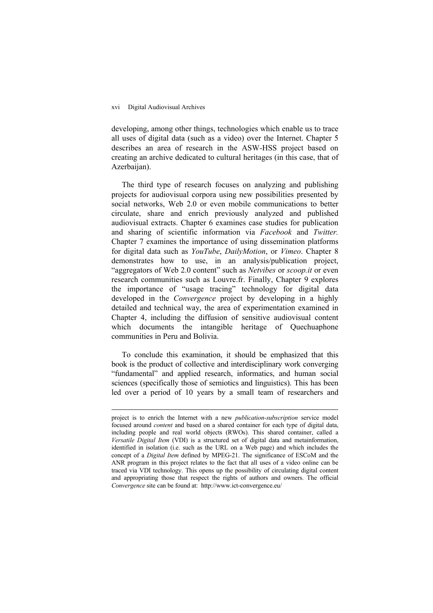## xvi Digital Audiovisual Archives

developing, among other things, technologies which enable us to trace all uses of digital data (such as a video) over the Internet. Chapter 5 describes an area of research in the ASW-HSS project based on creating an archive dedicated to cultural heritages (in this case, that of Azerbaijan).

The third type of research focuses on analyzing and publishing projects for audiovisual corpora using new possibilities presented by social networks, Web 2.0 or even mobile communications to better circulate, share and enrich previously analyzed and published audiovisual extracts. Chapter 6 examines case studies for publication and sharing of scientific information via *Facebook* and *Twitter.* Chapter 7 examines the importance of using dissemination platforms for digital data such as *YouTube*, *DailyMotion*, or *Vimeo*. Chapter 8 demonstrates how to use, in an analysis/publication project, "aggregators of Web 2.0 content" such as *Netvibes* or *scoop.it* or even research communities such as Louvre.fr. Finally, Chapter 9 explores the importance of "usage tracing" technology for digital data developed in the *Convergence* project by developing in a highly detailed and technical way, the area of experimentation examined in Chapter 4, including the diffusion of sensitive audiovisual content which documents the intangible heritage of Quechuaphone communities in Peru and Bolivia.

To conclude this examination, it should be emphasized that this book is the product of collective and interdisciplinary work converging "fundamental" and applied research, informatics, and human social sciences (specifically those of semiotics and linguistics). This has been led over a period of 10 years by a small team of researchers and

project is to enrich the Internet with a new *publication-subscription* service model focused around *content* and based on a shared container for each type of digital data, including people and real world objects (RWOs). This shared container, called a *Versatile Digital Item* (VDI) is a structured set of digital data and metainformation, identified in isolation (i.e. such as the URL on a Web page) and which includes the concept of a *Digital Item* defined by MPEG-21. The significance of ESCoM and the ANR program in this project relates to the fact that all uses of a video online can be traced via VDI technology. This opens up the possibility of circulating digital content and appropriating those that respect the rights of authors and owners. The official *Convergence* site can be found at: http://www.ict-convergence.eu/